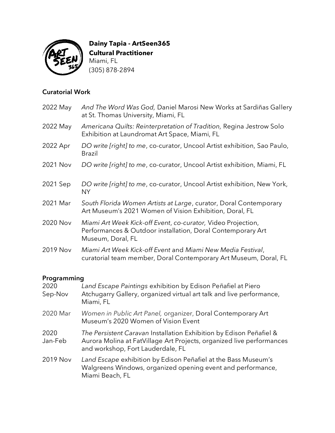

**Dainy Tapia - ArtSeen365 Cultural Practitioner** Miami, FL (305) 878-2894

### Curatorial Work

| 2022 May | And The Word Was God, Daniel Marosi New Works at Sardiñas Gallery<br>at St. Thomas University, Miami, FL                                         |
|----------|--------------------------------------------------------------------------------------------------------------------------------------------------|
| 2022 May | Americana Quilts: Reinterpretation of Tradition, Regina Jestrow Solo<br>Exhibition at Laundromat Art Space, Miami, FL                            |
| 2022 Apr | DO write [right] to me, co-curator, Uncool Artist exhibition, Sao Paulo,<br><b>Brazil</b>                                                        |
| 2021 Nov | DO write [right] to me, co-curator, Uncool Artist exhibition, Miami, FL                                                                          |
| 2021 Sep | DO write [right] to me, co-curator, Uncool Artist exhibition, New York,<br><b>NY</b>                                                             |
| 2021 Mar | South Florida Women Artists at Large, curator, Doral Contemporary<br>Art Museum's 2021 Women of Vision Exhibition, Doral, FL                     |
| 2020 Nov | Miami Art Week Kick-off Event, co-curator, Video Projection,<br>Performances & Outdoor installation, Doral Contemporary Art<br>Museum, Doral, FL |
| 2019 Nov | Miami Art Week Kick-off Event and Miami New Media Festival,<br>curatorial team member, Doral Contemporary Art Museum, Doral, FL                  |

# Programming

| 2020<br>Sep-Nov | Land Escape Paintings exhibition by Edison Peñafiel at Piero<br>Atchugarry Gallery, organized virtual art talk and live performance,<br>Miami, FL                                 |
|-----------------|-----------------------------------------------------------------------------------------------------------------------------------------------------------------------------------|
| 2020 Mar        | Women in Public Art Panel, organizer, Doral Contemporary Art<br>Museum's 2020 Women of Vision Event                                                                               |
| 2020<br>Jan-Feb | The Persistent Caravan Installation Exhibition by Edison Peñafiel &<br>Aurora Molina at FatVillage Art Projects, organized live performances<br>and workshop, Fort Lauderdale, FL |
| 2019 Nov        | Land Escape exhibition by Edison Peñafiel at the Bass Museum's<br>Walgreens Windows, organized opening event and performance,<br>Miami Beach, FL                                  |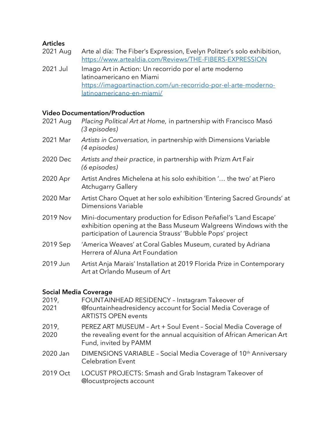### Articles

- 2021 Aug Arte al día: The Fiber's Expression, Evelyn Politzer's solo exhibition, <https://www.artealdia.com/Reviews/THE-FIBERS-EXPRESSION>
- 2021 Jul Imago Art in Action: Un recorrido por el arte moderno latinoamericano en Miami https://imagoartinaction.com/un-recorrido-por-el-arte-modernolatinoamericano-en-miami/

## Video Documentation/Production

| 2021 Aug | Placing Political Art at Home, in partnership with Francisco Masó<br>(3 episodes)                                                                                                                |
|----------|--------------------------------------------------------------------------------------------------------------------------------------------------------------------------------------------------|
| 2021 Mar | Artists in Conversation, in partnership with Dimensions Variable<br>(4 episodes)                                                                                                                 |
| 2020 Dec | Artists and their practice, in partnership with Prizm Art Fair<br>(6 episodes)                                                                                                                   |
| 2020 Apr | Artist Andres Michelena at his solo exhibition ' the two' at Piero<br><b>Atchugarry Gallery</b>                                                                                                  |
| 2020 Mar | Artist Charo Oquet at her solo exhibition 'Entering Sacred Grounds' at<br>Dimensions Variable                                                                                                    |
| 2019 Nov | Mini-documentary production for Edison Peñafiel's 'Land Escape'<br>exhibition opening at the Bass Museum Walgreens Windows with the<br>participation of Laurencia Strauss' 'Bubble Pops' project |
| 2019 Sep | 'America Weaves' at Coral Gables Museum, curated by Adriana<br>Herrera of Aluna Art Foundation                                                                                                   |
| 2019 Jun | Artist Anja Marais' Installation at 2019 Florida Prize in Contemporary<br>Art at Orlando Museum of Art                                                                                           |

### Social Media Coverage

| 2019,<br>2021 | FOUNTAINHEAD RESIDENCY - Instagram Takeover of<br>@fountainheadresidency account for Social Media Coverage of<br><b>ARTISTS OPEN events</b>                       |
|---------------|-------------------------------------------------------------------------------------------------------------------------------------------------------------------|
| 2019,<br>2020 | PEREZ ART MUSEUM - Art + Soul Event - Social Media Coverage of<br>the revealing event for the annual acquisition of African American Art<br>Fund, invited by PAMM |
| 2020 Jan      | DIMENSIONS VARIABLE - Social Media Coverage of 10 <sup>th</sup> Anniversary<br><b>Celebration Event</b>                                                           |
| 2019 Oct      | LOCUST PROJECTS: Smash and Grab Instagram Takeover of<br>@locustprojects account                                                                                  |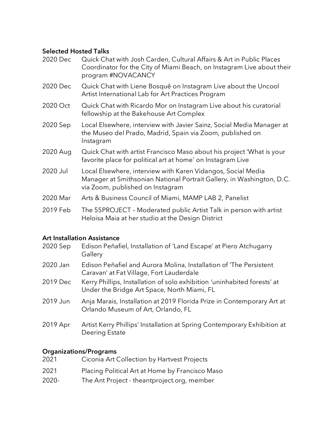#### Selected Hosted Talks

- 2020 Dec Quick Chat with Josh Carden, Cultural Affairs & Art in Public Places Coordinator for the City of Miami Beach, on Instagram Live about their program #NOVACANCY
- 2020 Dec Quick Chat with Liene Bosquê on Instagram Live about the Uncool Artist International Lab for Art Practices Program
- 2020 Oct Cuick Chat with Ricardo Mor on Instagram Live about his curatorial fellowship at the Bakehouse Art Complex
- 2020 Sep Local Elsewhere, interview with Javier Sainz, Social Media Manager at the Museo del Prado, Madrid, Spain via Zoom, published on Instagram
- 2020 Aug Cuick Chat with artist Francisco Maso about his project 'What is your favorite place for political art at home' on Instagram Live
- 2020 Jul Local Elsewhere, interview with Karen Vidangos, Social Media Manager at Smithsonian National Portrait Gallery, in Washington, D.C. via Zoom, published on Instagram
- 2020 Mar Arts & Business Council of Miami, MAMP LAB 2, Panelist
- 2019 Feb The 55PROJECT Moderated public Artist Talk in person with artist Heloisa Maia at her studio at the Design District

### Art Installation Assistance

| 2020 Sep | Edison Peñafiel, Installation of 'Land Escape' at Piero Atchugarry<br>Gallery                                           |
|----------|-------------------------------------------------------------------------------------------------------------------------|
| 2020 Jan | Edison Peñafiel and Aurora Molina, Installation of The Persistent<br>Caravan' at Fat Village, Fort Lauderdale           |
| 2019 Dec | Kerry Phillips, Installation of solo exhibition 'uninhabited forests' at<br>Under the Bridge Art Space, North Miami, FL |
| 2019 Jun | Anja Marais, Installation at 2019 Florida Prize in Contemporary Art at<br>Orlando Museum of Art, Orlando, FL            |
| 2019 Apr | Artist Kerry Phillips' Installation at Spring Contemporary Exhibition at<br>Deering Estate                              |

### Organizations/Programs

| 2021 | Ciconia Art Collection by Hartvest Projects     |
|------|-------------------------------------------------|
| 2021 | Placing Political Art at Home by Francisco Maso |

2020- The Ant Project - theantproject.org, member